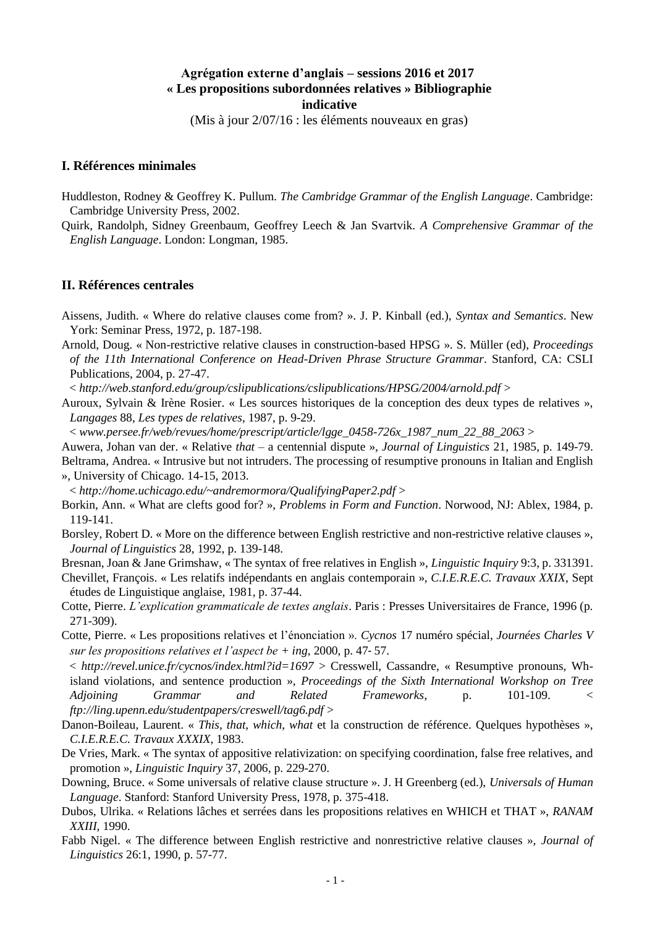# **Agrégation externe d'anglais – sessions 2016 et 2017 « Les propositions subordonnées relatives » Bibliographie indicative**

(Mis à jour 2/07/16 : les éléments nouveaux en gras)

#### **I. Références minimales**

- Huddleston, Rodney & Geoffrey K. Pullum. *The Cambridge Grammar of the English Language*. Cambridge: Cambridge University Press, 2002.
- Quirk, Randolph, Sidney Greenbaum, Geoffrey Leech & Jan Svartvik. *A Comprehensive Grammar of the English Language*. London: Longman, 1985.

### **II. Références centrales**

- Aissens, Judith. « Where do relative clauses come from? ». J. P. Kinball (ed.), *Syntax and Semantics*. New York: Seminar Press, 1972, p. 187-198.
- Arnold, Doug. « Non-restrictive relative clauses in construction-based HPSG ». S. Müller (ed), *Proceedings of the 11th International Conference on Head-Driven Phrase Structure Grammar*. Stanford, CA: CSLI Publications, 2004, p. 27-47.

< *http://web.stanford.edu/group/cslipublications/cslipublications/HPSG/2004/arnold.pdf* >

Auroux, Sylvain & Irène Rosier. « Les sources historiques de la conception des deux types de relatives », *Langages* 88, *Les types de relatives*, 1987, p. 9-29.

< *www.persee.fr/web/revues/home/prescript/article/lgge\_0458-726x\_1987\_num\_22\_88\_2063* >

Auwera, Johan van der. « Relative *that* – a centennial dispute », *Journal of Linguistics* 21, 1985, p. 149-79.

Beltrama, Andrea. « Intrusive but not intruders. The processing of resumptive pronouns in Italian and English », University of Chicago. 14-15, 2013.

< *http://home.uchicago.edu/~andremormora/QualifyingPaper2.pdf* >

- Borkin, Ann. « What are clefts good for? », *Problems in Form and Function*. Norwood, NJ: Ablex, 1984, p. 119-141.
- Borsley, Robert D. « More on the difference between English restrictive and non-restrictive relative clauses », *Journal of Linguistics* 28, 1992, p. 139-148.

Bresnan, Joan & Jane Grimshaw, « The syntax of free relatives in English », *Linguistic Inquiry* 9:3, p. 331391.

- Chevillet, François. « Les relatifs indépendants en anglais contemporain », *C.I.E.R.E.C. Travaux XXIX*, Sept études de Linguistique anglaise, 1981, p. 37-44.
- Cotte, Pierre. *L'explication grammaticale de textes anglais*. Paris : Presses Universitaires de France, 1996 (p. 271-309).
- Cotte, Pierre. « Les propositions relatives et l'énonciation ». *Cycnos* 17 numéro spécial, *Journées Charles V sur les propositions relatives et l'aspect be + ing*, 2000, p. 47‑ 57.

< *http://revel.unice.fr/cycnos/index.html?id=1697* > Cresswell, Cassandre, « Resumptive pronouns, Whisland violations, and sentence production », *Proceedings of the Sixth International Workshop on Tree Adjoining Grammar and Related Frameworks*, p. 101-109. < *ftp://ling.upenn.edu/studentpapers/creswell/tag6.pdf* >

- Danon-Boileau, Laurent. « *This*, *that*, *which*, *what* et la construction de référence. Quelques hypothèses », *C.I.E.R.E.C. Travaux XXXIX*, 1983.
- De Vries, Mark. « The syntax of appositive relativization: on specifying coordination, false free relatives, and promotion », *Linguistic Inquiry* 37, 2006, p. 229-270.
- Downing, Bruce. « Some universals of relative clause structure ». J. H Greenberg (ed.), *Universals of Human Language*. Stanford: Stanford University Press, 1978, p. 375-418.
- Dubos, Ulrika. « Relations lâches et serrées dans les propositions relatives en WHICH et THAT », *RANAM XXIII*, 1990.
- Fabb Nigel. « The difference between English restrictive and nonrestrictive relative clauses », *Journal of Linguistics* 26:1, 1990, p. 57-77.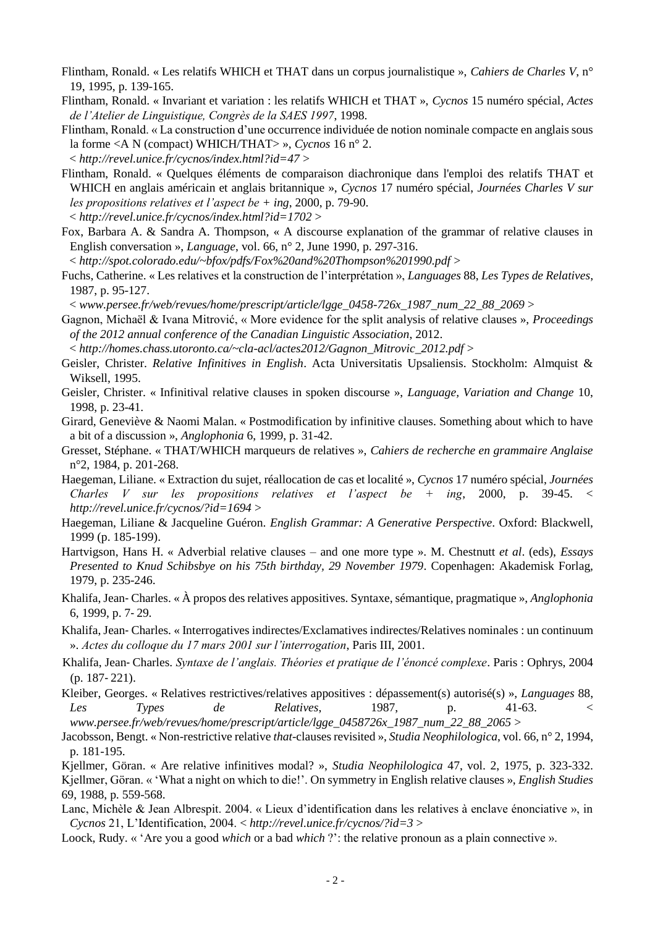- Flintham, Ronald. « Les relatifs WHICH et THAT dans un corpus journalistique », *Cahiers de Charles V*, n° 19, 1995, p. 139-165.
- Flintham, Ronald. « Invariant et variation : les relatifs WHICH et THAT », *Cycnos* 15 numéro spécial, *Actes de l'Atelier de Linguistique, Congrès de la SAES 1997*, 1998.
- Flintham, Ronald. « La construction d'une occurrence individuée de notion nominale compacte en anglais sous la forme <A N (compact) WHICH/THAT> », *Cycnos* 16 n° 2. < *http://revel.unice.fr/cycnos/index.html?id=47* >
- Flintham, Ronald. « Quelques éléments de comparaison diachronique dans l'emploi des relatifs THAT et WHICH en anglais américain et anglais britannique », *Cycnos* 17 numéro spécial, *Journées Charles V sur les propositions relatives et l'aspect be + ing*, 2000, p. 79-90.
- < *http://revel.unice.fr/cycnos/index.html?id=1702* >
- Fox, Barbara A. & Sandra A. Thompson, « A discourse explanation of the grammar of relative clauses in English conversation », *Language*, vol. 66, n° 2, June 1990, p. 297-316.
- < *http://spot.colorado.edu/~bfox/pdfs/Fox%20and%20Thompson%201990.pdf* >
- Fuchs, Catherine. « Les relatives et la construction de l'interprétation », *Languages* 88, *Les Types de Relatives*, 1987, p. 95-127.

< *www.persee.fr/web/revues/home/prescript/article/lgge\_0458-726x\_1987\_num\_22\_88\_2069* >

- Gagnon, Michaël & Ivana Mitrović, « More evidence for the split analysis of relative clauses », *Proceedings of the 2012 annual conference of the Canadian Linguistic Association*, 2012.
- < *http://homes.chass.utoronto.ca/~cla-acl/actes2012/Gagnon\_Mitrovic\_2012.pdf* >
- Geisler, Christer. *Relative Infinitives in English*. Acta Universitatis Upsaliensis. Stockholm: Almquist & Wiksell, 1995.
- Geisler, Christer. « Infinitival relative clauses in spoken discourse », *Language, Variation and Change* 10, 1998, p. 23-41.
- Girard, Geneviève & Naomi Malan. « Postmodification by infinitive clauses. Something about which to have a bit of a discussion », *Anglophonia* 6, 1999, p. 31-42.
- Gresset, Stéphane. « THAT/WHICH marqueurs de relatives », *Cahiers de recherche en grammaire Anglaise* n°2, 1984, p. 201-268.
- Haegeman, Liliane. « Extraction du sujet, réallocation de cas et localité », *Cycnos* 17 numéro spécial, *Journées Charles V sur les propositions relatives et l'aspect be + ing*, 2000, p. 39-45. < *http://revel.unice.fr/cycnos/?id=1694* >
- Haegeman, Liliane & Jacqueline Guéron. *English Grammar: A Generative Perspective*. Oxford: Blackwell, 1999 (p. 185-199).
- Hartvigson, Hans H. « Adverbial relative clauses and one more type ». M. Chestnutt *et al*. (eds), *Essays Presented to Knud Schibsbye on his 75th birthday, 29 November 1979*. Copenhagen: Akademisk Forlag, 1979, p. 235-246.
- Khalifa, Jean‑ Charles. « À propos des relatives appositives. Syntaxe, sémantique, pragmatique », *Anglophonia* 6, 1999, p. 7‑ 29.
- Khalifa, Jean‑ Charles. « Interrogatives indirectes/Exclamatives indirectes/Relatives nominales : un continuum ». *Actes du colloque du 17 mars 2001 sur l'interrogation*, Paris III, 2001.
- Khalifa, Jean‑ Charles. *Syntaxe de l'anglais. Théories et pratique de l'énoncé complexe*. Paris : Ophrys, 2004 (p. 187‑ 221).
- Kleiber, Georges. « Relatives restrictives/relatives appositives : dépassement(s) autorisé(s) », *Languages* 88, *Les Types de Relatives*, 1987, p. 41-63. < *www.persee.fr/web/revues/home/prescript/article/lgge\_0458726x\_1987\_num\_22\_88\_2065* >
- Jacobsson, Bengt. « Non-restrictive relative *that*-clauses revisited », *Studia Neophilologica*, vol. 66, n° 2, 1994, p. 181-195.
- Kjellmer, Göran. « Are relative infinitives modal? », *Studia Neophilologica* 47, vol. 2, 1975, p. 323-332. Kjellmer, Göran. « 'What a night on which to die!'. On symmetry in English relative clauses », *English Studies*  69, 1988, p. 559-568.
- Lanc, Michèle & Jean Albrespit. 2004. « Lieux d'identification dans les relatives à enclave énonciative », in *Cycnos* 21, L'Identification, 2004. < *http://revel.unice.fr/cycnos/?id=3* >
- Loock, Rudy. « 'Are you a good *which* or a bad *which* ?': the relative pronoun as a plain connective ».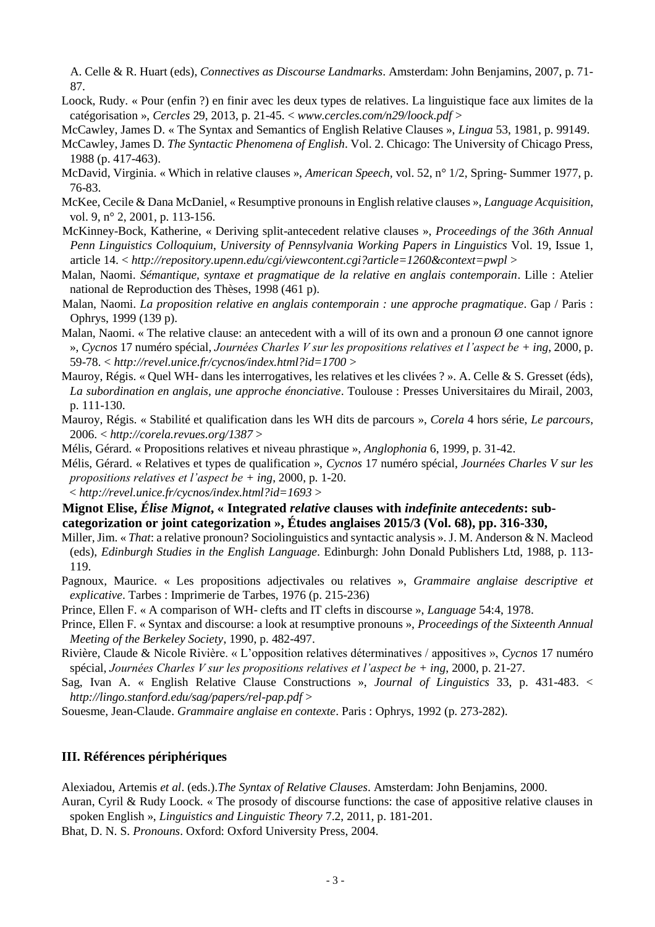A. Celle & R. Huart (eds), *Connectives as Discourse Landmarks*. Amsterdam: John Benjamins, 2007, p. 71- 87.

- Loock, Rudy. « Pour (enfin ?) en finir avec les deux types de relatives. La linguistique face aux limites de la catégorisation », *Cercles* 29, 2013, p. 21-45. < *www.cercles.com/n29/loock.pdf* >
- McCawley, James D. « The Syntax and Semantics of English Relative Clauses », *Lingua* 53, 1981, p. 99149.
- McCawley, James D. *The Syntactic Phenomena of English*. Vol. 2. Chicago: The University of Chicago Press, 1988 (p. 417-463).
- McDavid, Virginia. « Which in relative clauses », *American Speech,* vol. 52, n° 1/2, Spring- Summer 1977, p. 76-83.
- McKee, Cecile & Dana McDaniel, « Resumptive pronouns in English relative clauses », *Language Acquisition*, vol. 9, n° 2, 2001, p. 113-156.
- McKinney-Bock, Katherine, « Deriving split-antecedent relative clauses », *Proceedings of the 36th Annual Penn Linguistics Colloquium*, *University of Pennsylvania Working Papers in Linguistics* Vol. 19, Issue 1, article 14. < *http://repository.upenn.edu/cgi/viewcontent.cgi?article=1260&context=pwpl* >
- Malan, Naomi. *Sémantique, syntaxe et pragmatique de la relative en anglais contemporain*. Lille : Atelier national de Reproduction des Thèses, 1998 (461 p).
- Malan, Naomi. *La proposition relative en anglais contemporain : une approche pragmatique*. Gap / Paris : Ophrys, 1999 (139 p).
- Malan, Naomi. « The relative clause: an antecedent with a will of its own and a pronoun  $\emptyset$  one cannot ignore », *Cycnos* 17 numéro spécial, *Journées Charles V sur les propositions relatives et l'aspect be + ing*, 2000, p. 59-78. < *http://revel.unice.fr/cycnos/index.html?id=1700* >
- Mauroy, Régis. « Quel WH- dans les interrogatives, les relatives et les clivées ? ». A. Celle & S. Gresset (éds), *La subordination en anglais, une approche énonciative*. Toulouse : Presses Universitaires du Mirail, 2003, p. 111-130.
- Mauroy, Régis. « Stabilité et qualification dans les WH dits de parcours », *Corela* 4 hors série, *Le parcours*, 2006. < *http://corela.revues.org/1387* >
- Mélis, Gérard. « Propositions relatives et niveau phrastique », *Anglophonia* 6, 1999, p. 31-42.
- Mélis, Gérard. « Relatives et types de qualification », *Cycnos* 17 numéro spécial, *Journées Charles V sur les propositions relatives et l'aspect be + ing*, 2000, p. 1-20.
- < *http://revel.unice.fr/cycnos/index.html?id=1693* >

**Mignot Elise,** *Élise Mignot***, « Integrated** *relative* **clauses with** *indefinite antecedents***: subcategorization or joint categorization », Études anglaises 2015/3 (Vol. 68), pp. 316-330,** 

- Miller, Jim. « *That*: a relative pronoun? Sociolinguistics and syntactic analysis ». J. M. Anderson & N. Macleod (eds), *Edinburgh Studies in the English Language*. Edinburgh: John Donald Publishers Ltd, 1988, p. 113- 119.
- Pagnoux, Maurice. « Les propositions adjectivales ou relatives », *Grammaire anglaise descriptive et explicative*. Tarbes : Imprimerie de Tarbes, 1976 (p. 215-236)
- Prince, Ellen F. « A comparison of WH- clefts and IT clefts in discourse », *Language* 54:4, 1978.
- Prince, Ellen F. « Syntax and discourse: a look at resumptive pronouns », *Proceedings of the Sixteenth Annual Meeting of the Berkeley Society*, 1990, p. 482-497.
- Rivière, Claude & Nicole Rivière. « L'opposition relatives déterminatives / appositives », *Cycnos* 17 numéro spécial, *Journées Charles V sur les propositions relatives et l'aspect be + ing*, 2000, p. 21-27.
- Sag, Ivan A. « English Relative Clause Constructions », *Journal of Linguistics* 33, p. 431-483. < *http://lingo.stanford.edu/sag/papers/rel-pap.pdf* >
- Souesme, Jean-Claude. *Grammaire anglaise en contexte*. Paris : Ophrys, 1992 (p. 273-282).

## **III. Références périphériques**

Alexiadou, Artemis *et al*. (eds.).*The Syntax of Relative Clauses*. Amsterdam: John Benjamins, 2000.

Auran, Cyril & Rudy Loock. « The prosody of discourse functions: the case of appositive relative clauses in spoken English », *Linguistics and Linguistic Theory* 7.2, 2011, p. 181-201.

Bhat, D. N. S. *Pronouns*. Oxford: Oxford University Press, 2004.